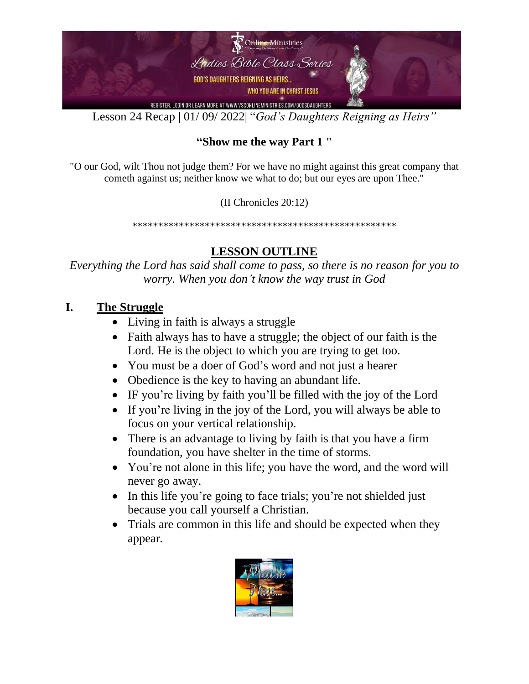

Lesson 24 Recap | 01/ 09/ 2022| "*God's Daughters Reigning as Heirs"*

#### **"Show me the way Part 1 "**

"O our God, wilt Thou not judge them? For we have no might against this great company that cometh against us; neither know we what to do; but our eyes are upon Thee."

(II Chronicles 20:12)

\*\*\*\*\*\*\*\*\*\*\*\*\*\*\*\*\*\*\*\*\*\*\*\*\*\*\*\*\*\*\*\*\*\*\*\*\*\*\*\*\*\*\*\*\*\*\*\*\*\*\*

#### **LESSON OUTLINE**

*Everything the Lord has said shall come to pass, so there is no reason for you to worry. When you don't know the way trust in God*

#### **I. The Struggle**

- Living in faith is always a struggle
- Faith always has to have a struggle; the object of our faith is the Lord. He is the object to which you are trying to get too.
- You must be a doer of God's word and not just a hearer
- Obedience is the key to having an abundant life.
- IF you're living by faith you'll be filled with the joy of the Lord
- If you're living in the joy of the Lord, you will always be able to focus on your vertical relationship.
- There is an advantage to living by faith is that you have a firm foundation, you have shelter in the time of storms.
- You're not alone in this life; you have the word, and the word will never go away.
- In this life you're going to face trials; you're not shielded just because you call yourself a Christian.
- Trials are common in this life and should be expected when they appear.

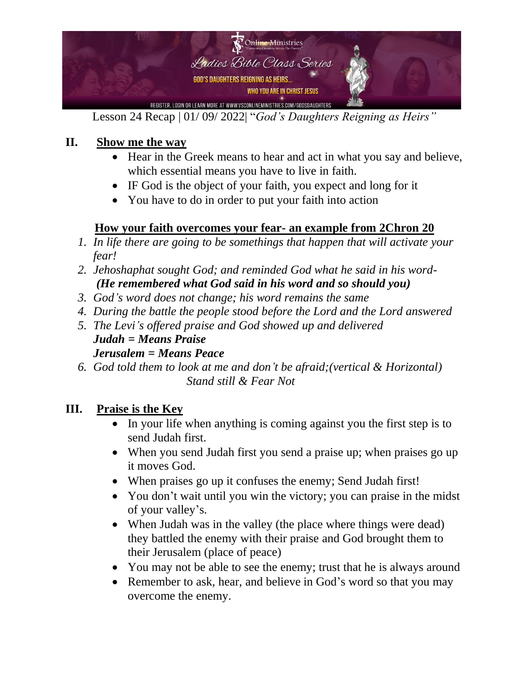

Lesson 24 Recap | 01/ 09/ 2022| "*God's Daughters Reigning as Heirs"*

# **II. Show me the way**

- Hear in the Greek means to hear and act in what you say and believe, which essential means you have to live in faith.
- IF God is the object of your faith, you expect and long for it
- You have to do in order to put your faith into action

# **How your faith overcomes your fear- an example from 2Chron 20**

- *1. In life there are going to be somethings that happen that will activate your fear!*
- *2. Jehoshaphat sought God; and reminded God what he said in his word- (He remembered what God said in his word and so should you)*
- *3. God's word does not change; his word remains the same*
- *4. During the battle the people stood before the Lord and the Lord answered*
- *5. The Levi's offered praise and God showed up and delivered Judah = Means Praise Jerusalem = Means Peace*
- *6. God told them to look at me and don't be afraid;(vertical & Horizontal) Stand still & Fear Not*

# **III. Praise is the Key**

- In your life when anything is coming against you the first step is to send Judah first.
- When you send Judah first you send a praise up; when praises go up it moves God.
- When praises go up it confuses the enemy; Send Judah first!
- You don't wait until you win the victory; you can praise in the midst of your valley's.
- When Judah was in the valley (the place where things were dead) they battled the enemy with their praise and God brought them to their Jerusalem (place of peace)
- You may not be able to see the enemy; trust that he is always around
- Remember to ask, hear, and believe in God's word so that you may overcome the enemy.